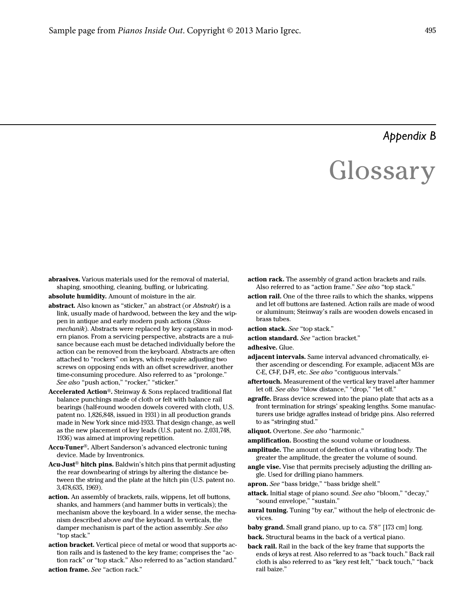## *Appendix B*

## **Glossary**

- abrasives. Various materials used for the removal of material, shaping, smoothing, cleaning, buffing, or lubricating.
- absolute humidity. Amount of moisture in the air.
- <span id="page-0-7"></span>abstract. Also known as "sticker," an abstract (or Abstrakt) is a link, usually made of hardwood, between the key and the wippen in antique and early modern push actions (Stossmechanik). Abstracts were replaced by key capstans in modern pianos. From a servicing perspective, abstracts are a nuisance because each must be detached individually before the action can be removed from the keyboard. Abstracts are often attached to "rockers" on keys, which require adjusting two screws on opposing ends with an offset screwdriver, another time-consuming procedure. Also referred to as "prolonge." See also "push action," "rocker," "sticker."
- Accelerated Action®. Steinway & Sons replaced traditional flat balance punchings made of cloth or felt with balance rail bearings (half-round wooden dowels covered with cloth, U.S. patent no. 1,826,848, issued in 1931) in all production grands made in New York since mid-1933. That design change, as well as the new placement of key leads (U.S. patent no. 2,031,748, 1936) was aimed at improving repetition.
- Accu-Tuner®. Albert Sanderson's advanced electronic tuning device. Made by Inventronics.
- Acu-Just<sup>®</sup> hitch pins. Baldwin's hitch pins that permit adjusting the rear downbearing of strings by altering the distance between the string and the plate at the hitch pin (U.S. patent no. 3,478,635, 1969).
- <span id="page-0-9"></span>action. An assembly of brackets, rails, wippens, let off buttons, shanks, and hammers (and hammer butts in verticals); the mechanism above the keyboard. In a wider sense, the mechanism described above and the keyboard. In verticals, the damper mechanism is part of the action assembly. See also "[top stack.](#page-12-0)"
- <span id="page-0-0"></span>action bracket. Vertical piece of metal or wood that supports action rails and is fastened to the key frame; comprises the ["ac](#page-0-1)[tion rack"](#page-0-1) or "top stack." Also referred to as "[action standard](#page-0-2)."

<span id="page-0-3"></span>action frame. See "[action rack](#page-0-1)."

- <span id="page-0-1"></span>action rack. The assembly of grand action brackets and rails. Also referred to as "[action frame.](#page-0-3)" See also "[top stack](#page-12-0)."
- action rail. One of the three rails to which the shanks, wippens and let off buttons are fastened. Action rails are made of wood or aluminum; Steinway's rails are wooden dowels encased in brass tubes.
- <span id="page-0-10"></span>action stack. See ["top stack](#page-12-0)."
- <span id="page-0-2"></span>action standard. See "[action bracket.](#page-0-0)"

adhesive. Glue.

- <span id="page-0-6"></span>adjacent intervals. Same interval advanced chromatically, either ascending or descending. For example, adjacent M3s are C-E, C<sup>#</sup>-F, D-F<sup>#</sup>, etc. See also "[contiguous intervals.](#page-3-0)"
- <span id="page-0-5"></span>aftertouch. Measurement of the vertical key travel after hammer let off. See also "[blow distance](#page-1-1)," "[drop,](#page-4-1)" "[let off.](#page-7-0)"
- <span id="page-0-8"></span>agraffe. Brass device screwed into the piano plate that acts as a front termination for strings' speaking lengths. Some manufacturers use bridge agraffes instead of bridge pins. Also referred to as "[stringing stud.](#page-12-1)"
- aliquot. Overtone. See also ["harmonic.](#page-6-0)"
- amplification. Boosting the sound volume or loudness.
- amplitude. The amount of deflection of a vibrating body. The greater the amplitude, the greater the volume of sound.
- angle vise. Vise that permits precisely adjusting the drilling angle. Used for drilling piano hammers.
- apron. See "bass bridge," "bass bridge shelf."
- <span id="page-0-4"></span>attack. Initial stage of piano sound. See also "[bloom](#page-1-0)," "[decay](#page-4-0)," "[sound envelope,](#page-11-0)" ["sustain](#page-12-2)."
- aural tuning. Tuning "by ear," without the help of electronic devices.

baby grand. Small grand piano, up to ca. 5'8" [173 cm] long. back. Structural beams in the back of a vertical piano.

back rail. Rail in the back of the key frame that supports the ends of keys at rest. Also referred to as "back touch." Back rail cloth is also referred to as "key rest felt," "back touch," "back rail baize."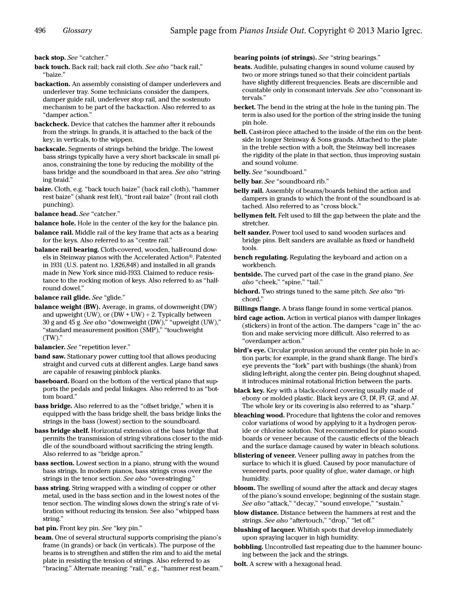back stop. See ["catcher](#page-2-2)."

back touch. Back rail; back rail cloth. See also "back rail," "[baize.](#page-1-2)"

- backaction. An assembly consisting of damper underlevers and underlever tray. Some technicians consider the dampers, damper guide rail, underlever stop rail, and the sostenuto mechanism to be part of the backaction. Also referred to as "damper action."
- backcheck. Device that catches the hammer after it rebounds from the strings. In grands, it is attached to the back of the key; in verticals, to the wippen.
- backscale. Segments of strings behind the bridge. The lowest bass strings typically have a very short backscale in small pianos, constraining the tone by reducing the mobility of the bass bridge and the soundboard in that area. See also ["string](#page-12-4)[ing braid](#page-12-4)."
- <span id="page-1-2"></span>baize. Cloth, e.g. "back touch baize" (back rail cloth), "hammer rest baize" (shank rest felt), "front rail baize" (front rail cloth punching).
- balance head. See ["catcher.](#page-2-2)"
- balance hole. Hole in the center of the key for the balance pin.
- <span id="page-1-4"></span>balance rail. Middle rail of the key frame that acts as a bearing for the keys. Also referred to as ["centre rail.](#page-2-1)"
- <span id="page-1-9"></span>balance rail bearing. Cloth-covered, wooden, half-round dowels in Steinway pianos with the Accelerated Action®. Patented in 1931 (U.S. patent no. 1,826,848) and installed in all grands made in New York since mid-1933. Claimed to reduce resistance to the rocking motion of keys. Also referred to as "halfround dowel."

<span id="page-1-10"></span>balance rail glide. See ["glide](#page-5-0)."

<span id="page-1-7"></span>balance weight (BW). Average, in grams, of downweight (DW) and upweight (UW), or (DW + UW)  $\div$  2. Typically between 30 g and 45 g. See also "[downweight \(DW\),](#page-4-2)" ["upweight \(UW\)](#page-13-1)," "[standard measurement position \(SMP\),](#page-11-2)" ["touchweight](#page-12-6)  [\(TW\).](#page-12-6)"

balancier. See ["repetition lever](#page-10-0)."

- band saw. Stationary power cutting tool that allows producing straight and curved cuts at different angles. Large band saws are capable of resawing pinblock planks.
- <span id="page-1-5"></span>baseboard. Board on the bottom of the vertical piano that supports the pedals and pedal linkages. Also referred to as ["bot](#page-2-3)[tom board.](#page-2-3)"
- bass bridge. Also referred to as the "offset bridge," when it is equipped with the bass bridge shelf, the bass bridge links the strings in the bass (lowest) section to the soundboard.
- <span id="page-1-8"></span>bass bridge shelf. Horizontal extension of the bass bridge that permits the transmission of string vibrations closer to the middle of the soundboard without sacrificing the string length. Also referred to as "bridge apron."
- <span id="page-1-11"></span>bass section. Lowest section in a piano, strung with the wound bass strings. In modern pianos, bass strings cross over the strings in the tenor section. See also ["over-stringing](#page-8-0)."
- <span id="page-1-14"></span>bass string. String wrapped with a winding of copper or other metal, used in the bass section and in the lowest notes of the tenor section. The winding slows down the string's rate of vibration without reducing its tension. See also ["whipped bass](#page-13-0)  [string.](#page-13-0)"

bat pin. Front [key pin](#page-7-1). See "key pin."

<span id="page-1-6"></span>beam. One of several structural supports comprising the piano's frame (in grands) or back (in verticals). The purpose of the beams is to strengthen and stiffen the rim and to aid the metal plate in resisting the tension of strings. Also referred to as "[bracing.](#page-2-4)" Alternate meaning: "rail," e.g., "hammer rest beam."

bearing points (of strings). See "string bearings."

- beats. Audible, pulsating changes in sound volume caused by two or more strings tuned so that their coincident partials have slightly different frequencies. Beats are discernible and countable only in consonant intervals. See also "consonant intervals."
- becket. The bend in the string at the hole in the tuning pin. The term is also used for the portion of the string inside the tuning pin hole.
- bell. Cast-iron piece attached to the inside of the rim on the bentside in longer Steinway & Sons grands. Attached to the plate in the treble section with a bolt, the Steinway bell increases the rigidity of the plate in that section, thus improving sustain and sound volume.
- belly. See "soundboard."
- belly bar. See "soundboard rib."
- belly rail. Assembly of beams/boards behind the action and dampers in grands to which the front of the soundboard is attached. Also referred to as "cross block."
- bellymen felt. Felt used to fill the gap between the plate and the stretcher.
- belt sander. Power tool used to sand wooden surfaces and bridge pins. Belt sanders are available as fixed or handheld tools.
- bench regulating. Regulating the keyboard and action on a workbench.
- <span id="page-1-3"></span>bentside. The curved part of the case in the grand piano. See also ["cheek,](#page-2-0)" "[spine](#page-11-1)," "[tail](#page-12-3)."
- <span id="page-1-13"></span>bichord. Two strings tuned to the same pitch. See also ["tri](#page-12-5)[chord](#page-12-5)."

Billings flange. A brass flange found in some vertical pianos.

- bird cage action. Action in vertical pianos with damper linkages (stickers) in front of the action. The dampers "cage in" the action and make servicing more difficult. Also referred to as "overdamper action."
- bird's eye. Circular protrusion around the center pin hole in action parts; for example, in the grand shank flange. The bird's eye prevents the "fork" part with bushings (the shank) from sliding left-right, along the center pin. Being doughnut shaped, it introduces minimal rotational friction between the parts.
- <span id="page-1-12"></span>black key. Key with a black-colored covering usually made of ebony or molded plastic. Black keys are C#, D#, F#, G#, and A#. The whole key or its covering is also referred to as "sharp."
- bleaching wood. Procedure that lightens the color and removes color variations of wood by applying to it a hydrogen peroxide or chlorine solution. Not recommended for piano soundboards or veneer because of the caustic effects of the bleach and the surface damage caused by water in bleach solutions.
- blistering of veneer. Veneer pulling away in patches from the surface to which it is glued. Caused by poor manufacture of veneered parts, poor quality of glue, water damage, or high humidity.
- <span id="page-1-0"></span>bloom. The swelling of sound after the attack and decay stages of the piano's sound envelope; beginning of the sustain stage. See also ["attack,](#page-0-4)" "[decay](#page-4-0)," "[sound envelope,](#page-11-0)" ["sustain](#page-12-2)."
- <span id="page-1-1"></span>blow distance. Distance between the hammers at rest and the strings. See also "[aftertouch](#page-0-5)," ["drop](#page-4-1)," "[let off.](#page-7-0)"
- blushing of lacquer. Whitish spots that develop immediately upon spraying lacquer in high humidity.
- bobbling. Uncontrolled fast repeating due to the hammer bouncing between the jack and the strings.
- bolt. A screw with a hexagonal head.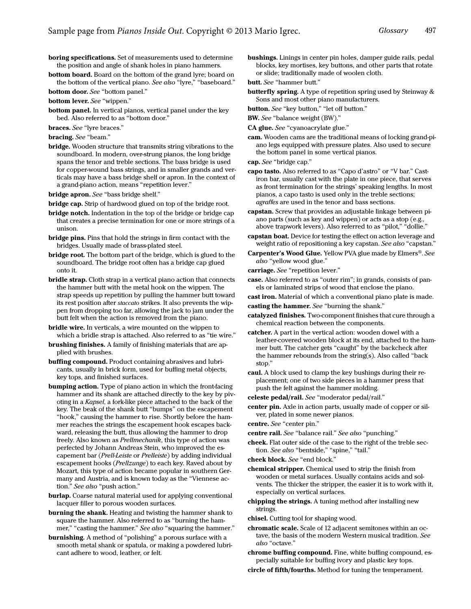- boring specifications. Set of measurements used to determine the position and angle of shank holes in piano hammers.
- <span id="page-2-3"></span>bottom board. Board on the bottom of the grand lyre; board on the bottom of the vertical piano. See also ["lyre,](#page-7-4)" ["baseboard](#page-1-5)."
- bottom door. See "bottom panel."
- bottom lever. See ["wippen](#page-13-3)."
- <span id="page-2-9"></span>bottom panel. In vertical pianos, vertical panel under the key bed. Also referred to as "bottom door."
- braces. See ["lyre braces](#page-7-3)."
- <span id="page-2-4"></span>bracing. See ["beam](#page-1-6)."
- <span id="page-2-10"></span>bridge. Wooden structure that transmits string vibrations to the soundboard. In modern, over-strung pianos, the long bridge spans the tenor and treble sections. The bass bridge is used for copper-wound bass strings, and in smaller grands and verticals may have a bass bridge shelf or apron. In the context of a grand-piano action, means ["repetition lever.](#page-10-0)"
- bridge apron. See ["bass bridge shelf](#page-1-8)."
- bridge cap. Strip of hardwood glued on top of the bridge root.
- bridge notch. Indentation in the top of the bridge or bridge cap that creates a precise termination for one or more strings of a unison.
- bridge pins. Pins that hold the strings in firm contact with the bridges. Usually made of brass-plated steel.
- bridge root. The bottom part of the bridge, which is glued to the soundboard. The bridge root often has a bridge cap glued onto it.
- bridle strap. Cloth strap in a vertical piano action that connects the hammer butt with the metal hook on the wippen. The strap speeds up repetition by pulling the hammer butt toward its rest position after *staccato* strikes. It also prevents the wippen from dropping too far, allowing the jack to jam under the butt felt when the action is removed from the piano.
- <span id="page-2-14"></span>**bridle wire.** In verticals, a wire mounted on the wippen to which a bridle strap is attached. Also referred to as "tie wire."
- brushing finishes. A family of finishing materials that are applied with brushes.
- buffing compound. Product containing abrasives and lubricants, usually in brick form, used for buffing metal objects, key tops, and finished surfaces.
- bumping action. Type of piano action in which the front-facing hammer and its shank are attached directly to the key by pivoting in a Kapsel, a fork-like piece attached to the back of the key. The beak of the shank butt "bumps" on the escapement "hook," causing the hammer to rise. Shortly before the hammer reaches the strings the escapement hook escapes backward, releasing the butt, thus allowing the hammer to drop freely. Also known as Prellmechanik, this type of action was perfected by Johann Andreas Stein, who improved the escapement bar (Prell-Leiste or Prelleiste) by adding individual escapement hooks (Prellzunge) to each key. Raved about by Mozart, this type of action became popular in southern Germany and Austria, and is known today as the "Viennese action." See also "push action."
- burlap. Coarse natural material used for applying conventional lacquer filler to porous wooden surfaces.
- <span id="page-2-6"></span>burning the shank. Heating and twisting the hammer shank to square the hammer. Also referred to as "burning the hammer," "casting the hammer." See also "[squaring the hammer.](#page-11-3)"
- burnishing. A method of "polishing" a porous surface with a smooth metal shank or spatula, or making a powdered lubricant adhere to wood, leather, or felt.
- bushings. Linings in center pin holes, damper guide rails, pedal blocks, key mortises, key buttons, and other parts that rotate or slide; traditionally made of woolen cloth.
- butt. See "hammer butt."
- butterfly spring. A type of repetition spring used by Steinway & Sons and most other piano manufacturers.
- button. See ["key button,](#page-6-1)" ["let off button](#page-7-2)."
- BW. See "[balance weight \(BW\).](#page-1-7)"
- CA glue. See "cyanoacrylate glue."
- cam. Wooden cams are the traditional means of locking grand-piano legs equipped with pressure plates. Also used to secure the bottom panel in some vertical pianos.
- cap. See "bridge cap."
- capo tasto. Also referred to as "Capo d'astro" or "V bar." Castiron bar, usually cast with the plate in one piece, that serves as front termination for the strings' speaking lengths. In most pianos, a capo tasto is used only in the treble sections; agraffes are used in the tenor and bass sections.
- <span id="page-2-7"></span>capstan. Screw that provides an adjustable linkage between piano parts (such as key and wippen) or acts as a stop (e.g., above trapwork levers). Also referred to as "[pilot,](#page-9-0)" ["dollie.](#page-4-4)"
- capstan boat. Device for testing the effect on action leverage and weight ratio of repositioning a key capstan. See also ["capstan](#page-2-7)."
- Carpenter's Wood Glue. Yellow PVA glue made by Elmers®. See also ["yellow wood glue](#page-13-2)."
- <span id="page-2-13"></span>carriage. See ["repetition lever](#page-10-0)."
- <span id="page-2-12"></span>case. Also referred to as "outer rim"; in grands, consists of panels or laminated strips of wood that enclose the piano.
- cast iron. Material of which a conventional piano plate is made.
- casting the hammer. See "[burning the shank.](#page-2-6)"
- catalyzed finishes. Two-component finishes that cure through a chemical reaction between the components.
- <span id="page-2-2"></span>catcher. A part in the vertical action: wooden dowel with a leather-covered wooden block at its end, attached to the hammer butt. The catcher gets "caught" by the backcheck after the hammer rebounds from the string(s). Also called "back stop."
- <span id="page-2-8"></span>caul. A block used to clamp the key bushings during their replacement; one of two side pieces in a hammer press that push the felt against the hammer molding.
- celeste pedal/rail. See "moderator pedal/rail."
- <span id="page-2-5"></span>center pin. Axle in action parts, usually made of copper or silver, plated in some newer pianos.
- centre. See ["center pin.](#page-2-5)"
- <span id="page-2-1"></span>centre rail. See ["balance rail](#page-1-4)." See also ["punching.](#page-9-1)"
- <span id="page-2-0"></span>cheek. Flat outer side of the case to the right of the treble section. See also ["bentside,](#page-1-3)" "spine," "tail."
- cheek block. See ["end block.](#page-4-3)"
- chemical stripper. Chemical used to strip the finish from wooden or metal surfaces. Usually contains acids and solvents. The thicker the stripper, the easier it is to work with it, especially on vertical surfaces.
- chipping the strings. A tuning method after installing new strings.
- chisel. Cutting tool for shaping wood.
- <span id="page-2-11"></span>chromatic scale. Scale of 12 adjacent semitones within an octave, the basis of the modern Western musical tradition. See also "octave."
- chrome buffing compound. Fine, white buffing compound, especially suitable for buffing ivory and plastic key tops.
- circle of fifth/fourths. Method for tuning the temperament.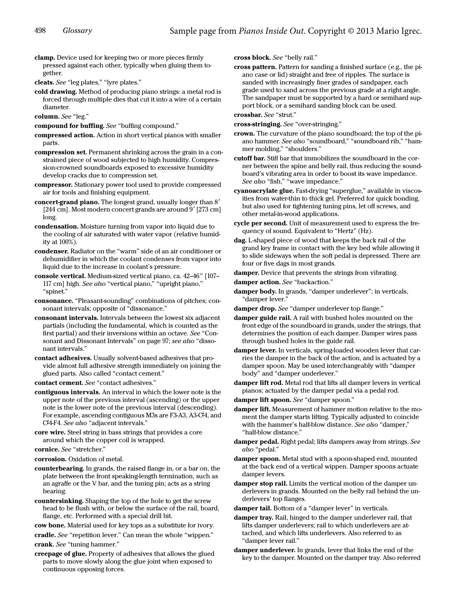clamp. Device used for keeping two or more pieces firmly pressed against each other, typically when gluing them together.

<span id="page-3-11"></span>cleats. See "[leg plates](#page-7-5)," ["lyre plates](#page-8-1)."

cold drawing. Method of producing piano strings: a metal rod is forced through multiple dies that cut it into a wire of a certain diameter.

column. See "[leg.](#page-7-6)"

compound for buffing. See "buffing compound."

- compressed action. Action in short vertical pianos with smaller parts.
- compression set. Permanent shrinking across the grain in a constrained piece of wood subjected to high humidity. Compression-crowned soundboards exposed to excessive humidity develop cracks due to compression set.
- compressor. Stationary power tool used to provide compressed air for tools and finishing equipment.

concert-grand piano. The longest grand, usually longer than 8' [244 cm]. Most modern concert grands are around 9' [273 cm] long.

condensation. Moisture turning from vapor into liquid due to the cooling of air saturated with water vapor (relative humidity at 100%).

condenser. Radiator on the "warm" side of an air conditioner or dehumidifier in which the coolant condenses from vapor into liquid due to the increase in coolant's pressure.

- <span id="page-3-14"></span>console vertical. Medium-sized vertical piano, ca. 42–46" [107– 117 cm] high. See also "[vertical piano,](#page-13-5)" ["upright piano](#page-13-6)," "[spinet.](#page-11-7)"
- consonance. "Pleasant-sounding" combinations of pitches; consonant intervals; opposite of "dissonance."
- consonant intervals. Intervals between the lowest six adjacent partials (including the fundamental, which is counted as the first partial) and their inversions within an octave. See "Consonant and Dissonant Intervals" on page 97; see also "dissonant intervals."

contact adhesives. Usually solvent-based adhesives that provide almost full adhesive strength immediately on joining the glued parts. Also called "contact cement."

contact cement. See "contact adhesives."

<span id="page-3-0"></span>contiguous intervals. An interval in which the lower note is the upper note of the previous interval (ascending) or the upper note is the lower note of the previous interval (descending). For example, ascending contiguous M3s are F3-A3, A3-C# 4, and C#4-F4. See also ["adjacent intervals.](#page-0-6)"

core wire. Steel string in bass strings that provides a core around which the copper coil is wrapped.

cornice. See "stretcher."

corrosion. Oxidation of metal.

- counterbearing. In grands, the raised flange in, or a bar on, the plate between the front speaking-length termination, such as an agraffe or the V bar, and the tuning pin; acts as a string bearing.
- countersinking. Shaping the top of the hole to get the screw head to be flush with, or below the surface of the rail, board, flange, etc. Performed with a special drill bit.

cow bone. Material used for key tops as a substitute for ivory.

<span id="page-3-12"></span>cradle. See ["repetition lever.](#page-10-0)" Can mean the whole "[wippen](#page-13-3)." crank. See "[tuning hammer.](#page-12-8)"

creepage of glue. Property of adhesives that allows the glued parts to move slowly along the glue joint when exposed to continuous opposing forces.

cross block. See "belly rail."

cross pattern. Pattern for sanding a finished surface (e.g., the piano case or lid) straight and free of ripples. The surface is sanded with increasingly finer grades of sandpaper, each grade used to sand across the previous grade at a right angle. The sandpaper must be supported by a hard or semihard support block, or a semihard sanding block can be used.

crossbar. See "[strut.](#page-12-7)" cross-stringing. See "[over-stringing.](#page-8-0)"

- <span id="page-3-9"></span>crown. The curvature of the piano soundboard; the top of the piano hammer. See also "[soundboard,](#page-11-4)" ["soundboard rib,](#page-11-5)" ["ham-](#page-5-1)
- <span id="page-3-10"></span>[mer molding](#page-5-1)," "[shoulders.](#page-11-6)" cutoff bar. Stiff bar that immobilizes the soundboard in the corner between the spine and belly rail, thus reducing the soundboard's vibrating area in order to boost its wave impedance. See also ["fish,](#page-5-2)" "[wave impedance](#page-13-4)."
- <span id="page-3-16"></span>cyanoacrylate glue. Fast-drying "superglue," available in viscosities from water-thin to thick gel. Preferred for quick bonding, but also used for tightening tuning pins, let off screws, and other metal-in-wood applications.
- cycle per second. Unit of measurement used to express the frequency of sound. Equivalent to "Hertz" (Hz).
- dag. L-shaped piece of wood that keeps the back rail of the grand key frame in contact with the key bed while allowing it to slide sideways when the soft pedal is depressed. There are four or five dags in most grands.
- <span id="page-3-4"></span>damper. Device that prevents the strings from vibrating.

damper action. See "backaction."

<span id="page-3-2"></span>damper body. In grands, "[damper underlever"](#page-3-1); in verticals, "[damper lever](#page-3-3)."

<span id="page-3-6"></span>damper drop. See "[damper underlever top flange.](#page-4-5)"

- damper guide rail. A rail with bushed holes mounted on the front edge of the soundboard in grands, under the strings, that determines the position of each damper. Damper wires pass through bushed holes in the guide rail.
- <span id="page-3-3"></span>damper lever. In verticals, spring-loaded wooden lever that carries the damper in the back of the action, and is actuated by a damper spoon. May be used interchangeably with "[damper](#page-3-2)  [body"](#page-3-2) and ["damper underlever](#page-3-1)."
- damper lift rod. Metal rod that lifts all damper levers in vertical pianos; actuated by the damper pedal via a pedal rod.

damper lift spoon. See ["damper spoon](#page-3-5)."

- <span id="page-3-8"></span>damper lift. Measurement of hammer motion relative to the moment the damper starts lifting. Typically adjusted to coincide with the hammer's half-blow distance. See also "[damper,](#page-3-4)" "[half-blow distance](#page-5-3)."
- <span id="page-3-15"></span>damper pedal. Right pedal; lifts dampers away from strings. See also ["pedal](#page-9-2)."
- <span id="page-3-5"></span>damper spoon. Metal stud with a spoon-shaped end, mounted at the back end of a vertical wippen. Damper spoons actuate damper levers.
- <span id="page-3-13"></span>damper stop rail. Limits the vertical motion of the damper underlevers in grands. Mounted on the belly rail behind the underlevers' top flanges.
- damper tail. Bottom of a "damper lever" in verticals.
- <span id="page-3-7"></span>damper tray. Rail, hinged to the damper underlever rail, that lifts damper underlevers; rail to which underlevers are attached, and which lifts underlevers. Also referred to as "damper lever rail."
- <span id="page-3-1"></span>damper underlever. In grands, lever that links the end of the key to the damper. Mounted on the damper tray. Also referred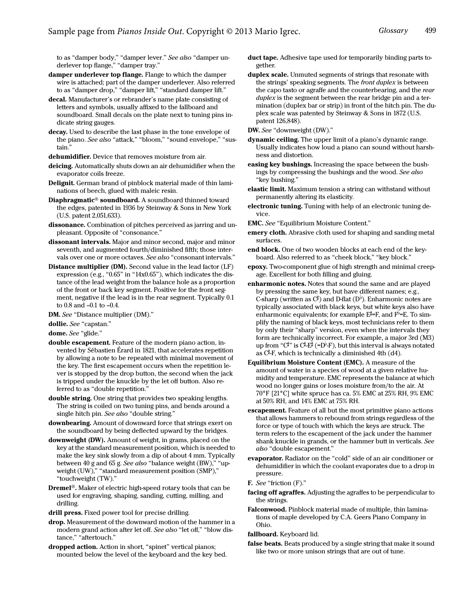to as "[damper body,](#page-3-2)" ["damper lever.](#page-3-3)" See also ["damper un](#page-4-5)[derlever top flange,](#page-4-5)" "[damper tray.](#page-3-7)"

- <span id="page-4-5"></span>damper underlever top flange. Flange to which the damper wire is attached; part of the damper underlever. Also referred to as "[damper drop](#page-3-6)," "[damper lift](#page-3-8)," "standard damper lift."
- decal. Manufacturer's or rebrander's name plate consisting of letters and symbols, usually affixed to the fallboard and soundboard. Small decals on the plate next to tuning pins indicate string gauges.
- <span id="page-4-0"></span>decay. Used to describe the last phase in the tone envelope of the piano. See also ["attack](#page-0-4)," "bloom," "[sound envelope](#page-11-0)," ["sus](#page-12-2)[tain](#page-12-2)."
- dehumidifier. Device that removes moisture from air.
- deicing. Automatically shuts down an air dehumidifier when the evaporator coils freeze.
- Delignit. German brand of pinblock material made of thin laminations of beech, glued with maleic resin.
- Diaphragmatic® soundboard. A soundboard thinned toward the edges, patented in 1936 by Steinway & Sons in New York (U.S. patent 2,051,633).
- dissonance. Combination of pitches perceived as jarring and unpleasant. Opposite of "consonance."
- dissonant intervals. Major and minor second, major and minor seventh, and augmented fourth/diminished fifth; those intervals over one or more octaves. See also "consonant intervals."
- <span id="page-4-7"></span>Distance multiplier (DM). Second value in the lead factor (LF) expression (e.g., "0.65" in "14x0.65"), which indicates the distance of the lead weight from the balance hole as a proportion of the front or back key segment. Positive for the front segment, negative if the lead is in the rear segment. Typically 0.1 to 0.8 and –0.1 to –0.4.
- DM. See "[Distance multiplier \(DM\)](#page-4-7)."

<span id="page-4-4"></span>dollie. See "[capstan](#page-2-7)."

<span id="page-4-9"></span>dome. See ["glide](#page-5-0)."

- <span id="page-4-8"></span>double escapement. Feature of the modern piano action, invented by Sébastien Érard in 1821, that accelerates repetition by allowing a note to be repeated with minimal movement of the key. The first escapement occurs when the repetition lever is stopped by the drop button, the second when the jack is tripped under the knuckle by the let off button. Also referred to as "double repetition."
- <span id="page-4-6"></span>double string. One string that provides two speaking lengths. The string is coiled on two tuning pins, and bends around a single hitch pin. See also ["double string](#page-4-6)."
- downbearing. Amount of downward force that strings exert on the soundboard by being deflected upward by the bridges.
- <span id="page-4-2"></span>downweight (DW). Amount of weight, in grams, placed on the key at the standard measurement position, which is needed to make the key sink slowly from a dip of about 4 mm. Typically between 40 g and 65 g. See also "[balance weight \(BW\),](#page-1-7)" ["up](#page-13-1)[weight \(UW\)](#page-13-1)," ["standard measurement position \(SMP\)](#page-11-2)," "[touchweight \(TW\)](#page-12-6)."
- Dremel®. Maker of electric high-speed rotary tools that can be used for engraving, shaping, sanding, cutting, milling, and drilling.
- drill press. Fixed power tool for precise drilling.
- <span id="page-4-1"></span>drop. Measurement of the downward motion of the hammer in a modern grand action after let off. See also "[let off,](#page-7-0)" ["blow dis](#page-1-1)[tance](#page-1-1)," ["aftertouch.](#page-0-5)"
- dropped action. Action in short, "spinet" vertical pianos; mounted below the level of the keyboard and the key bed.
- duct tape. Adhesive tape used for temporarily binding parts together.
- duplex scale. Unmuted segments of strings that resonate with the strings' speaking segments. The front duplex is between the capo tasto or agraffe and the counterbearing, and the rear duplex is the segment between the rear bridge pin and a termination (duplex bar or strip) in front of the hitch pin. The duplex scale was patented by Steinway & Sons in 1872 (U.S. patent 126,848).
- DW. See ["downweight \(DW\).](#page-4-2)"
- dynamic ceiling. The upper limit of a piano's dynamic range. Usually indicates how loud a piano can sound without harshness and distortion.
- <span id="page-4-10"></span>easing key bushings. Increasing the space between the bushings by compressing the bushings and the wood. See also "[key bushing.](#page-6-2)"
- <span id="page-4-11"></span>elastic limit. Maximum tension a string can withstand without permanently altering its elasticity.
- electronic tuning. Tuning with help of an electronic tuning device.
- EMC. See "Equilibrium Moisture Content."
- emery cloth. Abrasive cloth used for shaping and sanding metal surfaces.
- <span id="page-4-3"></span>end block. One of two wooden blocks at each end of the keyboard. Also referred to as "cheek block," "key block."
- epoxy. Two-component glue of high strength and minimal creepage. Excellent for both filling and gluing.
- enharmonic notes. Notes that sound the same and are played by pressing the same key, but have different names; e.g., C-sharp (written as  $C^{\sharp}$ ) and D-flat (D<sup>b</sup>). Enharmonic notes are typically associated with black keys, but white keys also have enharmonic equivalents; for example  $E^{\sharp} = F$ , and  $F^{\flat} = E$ . To simplify the naming of black keys, most technicians refer to them by only their "sharp" version, even when the intervals they form are technically incorrect. For example, a major 3rd (M3) up from "C#" is C#-E# (=D<sup>|,</sup>-F), but this interval is always notated as C# -F, which is technically a diminished 4th (d4).
- Equilibrium Moisture Content (EMC). A measure of the amount of water in a species of wood at a given relative humidity and temperature. EMC represents the balance at which wood no longer gains or loses moisture from/to the air. At 70°F [21°C] white spruce has ca. 5% EMC at 25% RH, 9% EMC at 50% RH, and 14% EMC at 75% RH.
- <span id="page-4-12"></span>escapement. Feature of all but the most primitive piano actions that allows hammers to rebound from strings regardless of the force or type of touch with which the keys are struck. The term refers to the escapement of the jack under the hammer shank knuckle in grands, or the hammer butt in verticals. See also ["double escapement.](#page-4-8)"
- evaporator. Radiator on the "cold" side of an air conditioner or dehumidifier in which the coolant evaporates due to a drop in pressure.
- F. See ["friction \(F\).](#page-5-4)"
- facing off agraffes. Adjusting the agraffes to be perpendicular to the strings.
- Falconwood. Pinblock material made of multiple, thin laminations of maple developed by C.A. Geers Piano Company in Ohio.
- fallboard. Keyboard lid.
- false beats. Beats produced by a single string that make it sound like two or more unison strings that are out of tune.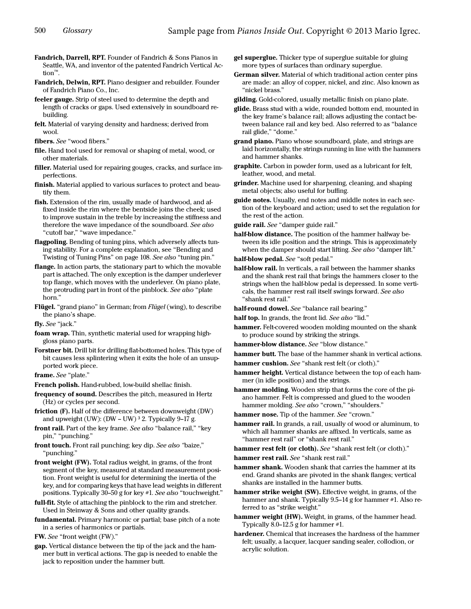Fandrich, Darrell, RPT. Founder of Fandrich & Sons Pianos in Seattle, WA, and inventor of the patented Fandrich Vertical Action™.

Fandrich, Delwin, RPT. Piano designer and rebuilder. Founder of Fandrich Piano Co., Inc.

feeler gauge. Strip of steel used to determine the depth and length of cracks or gaps. Used extensively in soundboard rebuilding.

felt. Material of varying density and hardness; derived from wool.

fibers. See "wood fibers."

file. Hand tool used for removal or shaping of metal, wood, or other materials.

filler. Material used for repairing gouges, cracks, and surface imperfections.

finish. Material applied to various surfaces to protect and beautify them.

<span id="page-5-2"></span>fish. Extension of the rim, usually made of hardwood, and affixed inside the rim where the bentside joins the cheek; used to improve sustain in the treble by increasing the stiffness and therefore the wave impedance of the soundboard. See also "[cutoff bar,](#page-3-10)" ["wave impedance](#page-13-4)."

<span id="page-5-13"></span>flagpoling. Bending of tuning pins, which adversely affects tuning stability. For a complete explanation, see "Bending and Twisting of Tuning Pins" on page 108. See also ["tuning pin](#page-12-9)."

flange. In action parts, the stationary part to which the movable part is attached. The only exception is the damper underlever top flange, which moves with the underlever. On piano plate, the protruding part in front of the pinblock. See also "plate horn."

Flügel. "grand piano" in German; from Flügel (wing), to describe the piano's shape.

fly. See "jack."

foam wrap. Thin, synthetic material used for wrapping highgloss piano parts.

Forstner bit. Drill bit for drilling flat-bottomed holes. This type of bit causes less splintering when it exits the hole of an unsupported work piece.

<span id="page-5-9"></span>frame. See ["plate.](#page-9-3)"

French polish. Hand-rubbed, low-build shellac finish.

frequency of sound. Describes the pitch, measured in Hertz (Hz) or cycles per second.

<span id="page-5-4"></span>friction (F). Half of the difference between downweight (DW) and upweight (UW): (DW - UW) <sup>3</sup> 2. Typically 9-17 g.

front rail. Part of the key frame. See also "[balance rail,](#page-1-4)" "key [pin](#page-7-1)," "[punching](#page-9-1)."

front touch. Front rail punching; key dip. See also "[baize,](#page-1-2)" "[punching](#page-9-1)."

<span id="page-5-5"></span>front weight (FW). Total radius weight, in grams, of the front segment of the key, measured at standard measurement position. Front weight is useful for determining the inertia of the key, and for comparing keys that have lead weights in different positions. Typically 30–50 g for key #1. See also "touchweight."

full-fit. Style of attaching the pinblock to the rim and stretcher. Used in Steinway & Sons and other quality grands.

fundamental. Primary harmonic or partial; base pitch of a note in a series of harmonics or partials.

FW. See ["front weight \(FW\).](#page-5-5)"

gap. Vertical distance between the tip of the jack and the hammer butt in vertical actions. The gap is needed to enable the jack to reposition under the hammer butt.

gel superglue. Thicker type of superglue suitable for gluing more types of surfaces than ordinary superglue.

German silver. Material of which traditional action center pins are made: an alloy of copper, nickel, and zinc. Also known as "nickel brass."

gilding. Gold-colored, usually metallic finish on piano plate.

<span id="page-5-0"></span>glide. Brass stud with a wide, rounded bottom end, mounted in the key frame's balance rail; allows adjusting the contact between balance rail and key bed. Also referred to as "[balance](#page-1-10)  [rail glide,](#page-1-10)" ["dome](#page-4-9)."

<span id="page-5-14"></span>grand piano. Piano whose soundboard, plate, and strings are laid horizontally, the strings running in line with the hammers and hammer shanks.

graphite. Carbon in powder form, used as a lubricant for felt, leather, wood, and metal.

grinder. Machine used for sharpening, cleaning, and shaping metal objects; also useful for buffing.

<span id="page-5-8"></span>guide notes. Usually, end notes and middle notes in each section of the keyboard and action; used to set the regulation for the rest of the action.

guide rail. See "damper guide rail."

<span id="page-5-3"></span>half-blow distance. The position of the hammer halfway between its idle position and the strings. This is approximately when the damper should start lifting. See also "[damper lift.](#page-3-8)"

half-blow pedal. See ["soft pedal](#page-11-8)."

<span id="page-5-11"></span>half-blow rail. In verticals, a rail between the hammer shanks and the shank rest rail that brings the hammers closer to the strings when the half-blow pedal is depressed. In some verticals, the hammer rest rail itself swings forward. See also "[shank rest rail](#page-10-2)."

half-round dowel. See ["balance rail bearing](#page-1-9)."

half top. In grands, the front [lid](#page-7-7). See also "lid."

hammer. Felt-covered wooden molding mounted on the shank to produce sound by striking the strings.

hammer-blow distance. See "blow distance."

<span id="page-5-6"></span>hammer butt. The base of the hammer shank in vertical actions.

hammer cushion. See "[shank rest felt \(or cloth\).](#page-10-1)"

hammer height. Vertical distance between the top of each hammer (in idle position) and the strings.

<span id="page-5-1"></span>hammer molding. Wooden strip that forms the core of the piano hammer. Felt is compressed and glued to the wooden hammer molding. See also ["crown](#page-3-9)," "[shoulders](#page-11-6)."

hammer nose. Tip of the hammer. See "[crown](#page-3-9)."

hammer rail. In grands, a rail, usually of wood or aluminum, to which all hammer shanks are affixed. In verticals, same as "hammer rest rail" or "shank rest rail."

hammer rest felt (or cloth). See ["shank rest felt \(or cloth\).](#page-10-1)"

<span id="page-5-10"></span>hammer rest rail. See "shank rest rail."

hammer shank. Wooden shank that carries the hammer at its end. Grand shanks are pivoted in the shank flanges; vertical shanks are installed in the hammer butts.

<span id="page-5-12"></span>hammer strike weight (SW). Effective weight, in grams, of the hammer and shank. Typically 9.5-14 g for hammer #1. Also referred to as "strike weight."

<span id="page-5-7"></span>hammer weight (HW). Weight, in grams, of the hammer head. Typically 8.0–12.5 g for hammer #1.

hardener. Chemical that increases the hardness of the hammer felt; usually, a lacquer, lacquer sanding sealer, collodion, or acrylic solution.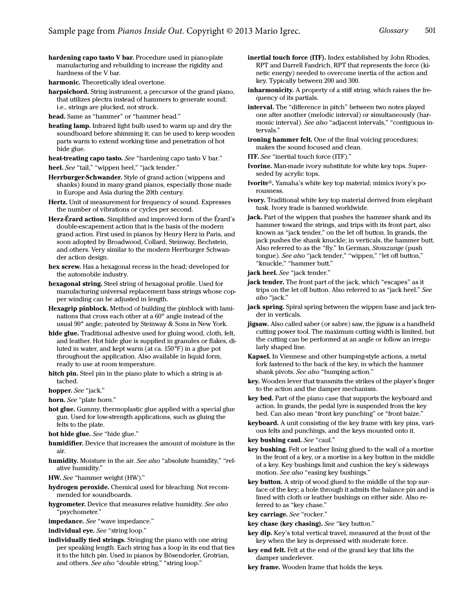<span id="page-6-3"></span>hardening capo tasto V bar. Procedure used in piano-plate manufacturing and rebuilding to increase the rigidity and hardness of the V bar.

<span id="page-6-0"></span>harmonic. Theoretically ideal overtone.

- harpsichord. String instrument, a precursor of the grand piano. that utilizes plectra instead of hammers to generate sound; i.e., strings are plucked, not struck.
- head. Same as "hammer" or "hammer head."
- <span id="page-6-8"></span>heating lamp. Infrared light bulb used to warm up and dry the soundboard before shimming it; can be used to keep wooden parts warm to extend working time and penetration of hot hide glue.

heat-treating capo tasto. See ["hardening capo tasto V bar.](#page-6-3)"

- <span id="page-6-10"></span>heel. See "[tail](#page-12-3)," ["wippen heel](#page-13-7)," "[jack tender.](#page-6-4)"
- Herrburger-Schwander. Style of grand action (wippens and shanks) found in many grand pianos, especially those made in Europe and Asia during the 20th century.
- Hertz. Unit of measurement for frequency of sound. Expresses the number of vibrations or cycles per second.
- Herz-Érard action. Simplified and improved form of the Érard's double-escapement action that is the basis of the modern grand action. First used in pianos by Henry Herz in Paris, and soon adopted by Broadwood, Collard, Steinway, Bechstein, and others. Very similar to the modern Herrburger Schwander action design.
- hex screw. Has a hexagonal recess in the head; developed for the automobile industry.
- hexagonal string. Steel string of hexagonal profile. Used for manufacturing universal replacement bass strings whose copper winding can be adjusted in length.
- Hexagrip pinblock. Method of building the pinblock with laminations that cross each other at a 60° angle instead of the usual 90° angle; patented by Steinway & Sons in New York.
- hide glue. Traditional adhesive used for gluing wood, cloth, felt, and leather. Hot hide glue is supplied in granules or flakes, diluted in water, and kept warm (at ca. 150°F) in a glue pot throughout the application. Also available in liquid form, ready to use at room temperature.
- hitch pin. Steel pin in the piano plate to which a string is attached.

hopper. See ["jack.](#page-6-5)"

horn. See "plate horn."

- hot glue. Gummy, thermoplastic glue applied with a special glue gun. Used for low-strength applications, such as gluing the felts to the plate.
- hot hide glue. See "hide glue."
- humidifier. Device that increases the amount of moisture in the air.
- humidity. Moisture in the air. See also "absolute humidity," "relative humidity."
- HW. See ["hammer weight \(HW\).](#page-5-7)"
- hydrogen peroxide. Chemical used for bleaching. Not recommended for soundboards.
- hygrometer. Device that measures relative humidity. See also "psychometer."
- impedance. See "[wave impedance.](#page-13-4)"
- individual eye. See "[string loop](#page-11-9)."
- individually tied strings. Stringing the piano with one string per speaking length. Each string has a loop in its end that ties it to the hitch pin. Used in pianos by Bösendorfer, Grotrian, and others. See also ["double string](#page-4-6)," "[string loop](#page-11-9)."
- <span id="page-6-7"></span>inertial touch force (ITF). Index established by John Rhodes, RPT and Darrell Fandrich, RPT that represents the force (kinetic energy) needed to overcome inertia of the action and key. Typically between 200 and 300.
- inharmonicity. A property of a stiff string, which raises the frequency of its partials.
- interval. The "difference in pitch" between two notes played one after another (melodic interval) or simultaneously (harmonic interval). See also "[adjacent intervals](#page-0-6)," ["contiguous in](#page-3-0)[tervals.](#page-3-0)"

ironing hammer felt. One of the final voicing procedures; makes the sound focused and clean.

- ITF. See ["inertial touch force \(ITF\).](#page-6-7)"
- Ivorine. Man-made ivory substitute for white key tops. Superseded by acrylic tops.
- Ivorite®. Yamaha's white key top material; mimics ivory's porousness.
- ivory. Traditional white key top material derived from elephant tusk. Ivory trade is banned worldwide.
- <span id="page-6-5"></span>jack. Part of the wippen that pushes the hammer shank and its hammer toward the strings, and trips with its front part, also known as "jack tender," on the let off button. In grands, the jack pushes the shank knuckle; in verticals, the hammer butt. Also referred to as the "fly." In German, Stosszunge (push tongue). See also "[jack tender](#page-6-4)," "[wippen](#page-13-3)," "[let off button,](#page-7-2)" "[knuckle,](#page-7-8)" ["hammer butt.](#page-5-6)"
- <span id="page-6-6"></span>jack heel. See ["jack tender](#page-6-4)."
- <span id="page-6-4"></span>**jack tender.** The front part of the jack, which "escapes" as it trips on the let off button. Also referred to as ["jack heel.](#page-6-6)" See also ["jack](#page-6-5)."
- jack spring. Spiral spring between the wippen base and jack tender in verticals.
- jigsaw. Also called saber (or sabre) saw, the jigsaw is a handheld cutting power tool. The maximum cutting width is limited, but the cutting can be performed at an angle or follow an irregularly shaped line.
- Kapsel. In Viennese and other bumping-style actions, a metal fork fastened to the back of the key, in which the hammer shank pivots. See also "bumping action."
- key. Wooden lever that transmits the strikes of the player's finger to the action and the damper mechanism.
- key bed. Part of the piano case that supports the keyboard and action. In grands, the pedal lyre is suspended from the key bed. Can also mean "front key punching" or "front baize."
- keyboard. A unit consisting of the key frame with key pins, various felts and punchings, and the keys mounted onto it.
- key bushing caul. See ["caul](#page-2-8)."
- <span id="page-6-2"></span>key bushing. Felt or leather lining glued to the wall of a mortise in the front of a key, or a mortise in a key button in the middle of a key. Key bushings limit and cushion the key's sideways motion. See also ["easing key bushings](#page-4-10)."
- <span id="page-6-1"></span>key button. A strip of wood glued to the middle of the top surface of the key; a hole through it admits the balance pin and is lined with cloth or leather bushings on either side. Also referred to as "key chase."

<span id="page-6-9"></span>key carriage. See "[rocker.](#page-10-3)"

- key chase (key chasing). See ["key button.](#page-6-1)"
- key dip. Key's total vertical travel, measured at the front of the key when the key is depressed with moderate force.
- key end felt. Felt at the end of the grand key that lifts the damper underlever.
- key frame. Wooden frame that holds the keys.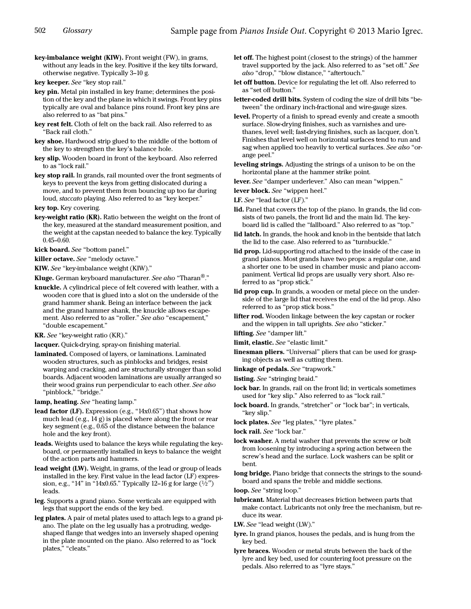<span id="page-7-13"></span>key-imbalance weight (KIW). Front weight (FW), in grams, without any leads in the key. Positive if the key tilts forward, otherwise negative. Typically 3–10 g.

key keeper. See "[key stop rail](#page-7-11)."

<span id="page-7-1"></span>key pin. Metal pin installed in key frame; determines the position of the key and the plane in which it swings. Front key pins typically are oval and balance pins round. Front key pins are also referred to as "bat pins."

key rest felt. Cloth of felt on the back rail. Also referred to as "Back rail cloth."

key shoe. Hardwood strip glued to the middle of the bottom of the key to strengthen the key's balance hole.

<span id="page-7-9"></span>key slip. Wooden board in front of the keyboard. Also referred to as "lock rail."

<span id="page-7-11"></span>key stop rail. In grands, rail mounted over the front segments of keys to prevent the keys from getting dislocated during a move, and to prevent them from bouncing up too far during loud, staccato playing. Also referred to as "key keeper."

key top. Key covering.

<span id="page-7-14"></span>key-weight ratio (KR). Ratio between the weight on the front of the key, measured at the standard measurement position, and the weight at the capstan needed to balance the key. Typically 0.45–0.60.

kick board. See ["bottom panel](#page-2-9)."

killer octave. See "[melody octave](#page-8-3)."

KIW. See ["key-imbalance weight \(KIW\)](#page-7-13)."

Kluge. German keyboard manufacturer. See also "[Tharan](#page-12-12)<sup>®</sup>."

<span id="page-7-8"></span>knuckle. A cylindrical piece of felt covered with leather, with a wooden core that is glued into a slot on the underside of the grand hammer shank. Being an interface between the jack and the grand hammer shank, the knuckle allows escapement. Also referred to as ["roller.](#page-10-5)" See also "[escapement](#page-4-12)," "[double escapement](#page-4-8)."

KR. See ["key-weight ratio \(KR\)](#page-7-14)."

lacquer. Quick-drying, spray-on finishing material.

laminated. Composed of layers, or laminations. Laminated wooden structures, such as pinblocks and bridges, resist warping and cracking, and are structurally stronger than solid boards. Adjacent wooden laminations are usually arranged so their wood grains run perpendicular to each other. See also "[pinblock,](#page-9-6)" ["bridge.](#page-2-10)"

lamp, heating. See "[heating lamp](#page-6-8)."

<span id="page-7-15"></span>lead factor (LF). Expression (e.g., "14x0.65") that shows how much lead (e.g., 14 g) is placed where along the front or rear key segment (e.g., 0.65 of the distance between the balance hole and the key front).

leads. Weights used to balance the keys while regulating the keyboard, or permanently installed in keys to balance the weight of the action parts and hammers.

<span id="page-7-16"></span>lead weight (LW). Weight, in grams, of the lead or group of leads installed in the key. First value in the lead factor (LF) expression, e.g., "14" in "14x0.65." Typically 12–16 g for large  $(1/2")$ leads.

<span id="page-7-6"></span>leg. Supports a grand piano. Some verticals are equipped with legs that support the ends of the key bed.

<span id="page-7-5"></span>leg plates. A pair of metal plates used to attach legs to a grand piano. The plate on the leg usually has a protruding, wedgeshaped flange that wedges into an inversely shaped opening in the plate mounted on the piano. Also referred to as ["lock](#page-7-10)  [plates](#page-7-10)," "[cleats.](#page-3-11)"

<span id="page-7-0"></span>let off. The highest point (closest to the strings) of the hammer travel supported by the jack. Also referred to as "[set off](#page-10-4)." See also ["drop](#page-4-1)," "[blow distance](#page-1-1)," ["aftertouch.](#page-0-5)"

<span id="page-7-2"></span>let off button. Device for regulating the let off. Also referred to as "set off button."

letter-coded drill bits. System of coding the size of drill bits "between" the ordinary inch-fractional and wire-gauge sizes.

<span id="page-7-17"></span>level. Property of a finish to spread evenly and create a smooth surface. Slow-drying finishes, such as varnishes and urethanes, level well; fast-drying finishes, such as lacquer, don't. Finishes that level well on horizontal surfaces tend to run and sag when applied too heavily to vertical surfaces. See also "[or](#page-8-2)[ange peel](#page-8-2)."

leveling strings. Adjusting the strings of a unison to be on the horizontal plane at the hammer strike point.

lever. See "damper underlever." Also can mean "[wippen](#page-13-3)."

lever block. See "[wippen heel.](#page-13-7)"

LF. See "[lead factor \(LF\)](#page-7-15)."

- <span id="page-7-7"></span>lid. Panel that covers the top of the piano. In grands, the lid consists of two panels, the front lid and the main lid. The keyboard lid is called the "fallboard." Also referred to as "top."
- <span id="page-7-19"></span>lid latch. In grands, the hook and knob in the bentside that latch the lid to the case. Also referred to as "[turnbuckle.](#page-12-10)"

lid prop. Lid-supporting rod attached to the inside of the case in grand pianos. Most grands have two props: a regular one, and a shorter one to be used in chamber music and piano accompaniment. Vertical lid props are usually very short. Also referred to as "[prop stick.](#page-9-5)"

<span id="page-7-18"></span>lid prop cup. In grands, a wooden or metal piece on the underside of the large lid that receives the end of the lid prop. Also referred to as "[prop stick boss](#page-9-4)."

lifter rod. Wooden linkage between the key capstan or rocker and the wippen in tall uprights. See also "[sticker.](#page-11-11)"

lifting. See ["damper lift](#page-3-8)."

limit, elastic. See "[elastic limit.](#page-4-11)"

linesman pliers. "Universal" pliers that can be used for grasping objects as well as cutting them.

linkage of pedals. See "[trapwork.](#page-12-11)"

listing. See ["stringing braid.](#page-12-4)"

<span id="page-7-12"></span>lock bar. In grands, rail on the front lid; in verticals sometimes used for ["key slip](#page-7-9)." Also referred to as "lock rail."

lock board. In grands, "[stretcher](#page-11-10)" or "[lock bar](#page-7-12)"; in verticals, "[key slip.](#page-7-9)"

<span id="page-7-10"></span>lock plates. See "[leg plates,](#page-7-5)" "[lyre plates.](#page-8-1)"

lock rail. See ["lock bar](#page-7-12)."

lock washer. A metal washer that prevents the screw or bolt from loosening by introducing a spring action between the screw's head and the surface. Lock washers can be split or bent.

long bridge. Piano bridge that connects the strings to the soundboard and spans the treble and middle sections.

loop. See "[string loop](#page-11-9)."

lubricant. Material that decreases friction between parts that make contact. Lubricants not only free the mechanism, but reduce its wear.

LW. See "[lead weight \(LW\)](#page-7-16)."

<span id="page-7-4"></span>lyre. In grand pianos, houses the pedals, and is hung from the key bed.

<span id="page-7-3"></span>lyre braces. Wooden or metal struts between the back of the lyre and key bed, used for countering foot pressure on the pedals. Also referred to as "lyre stays."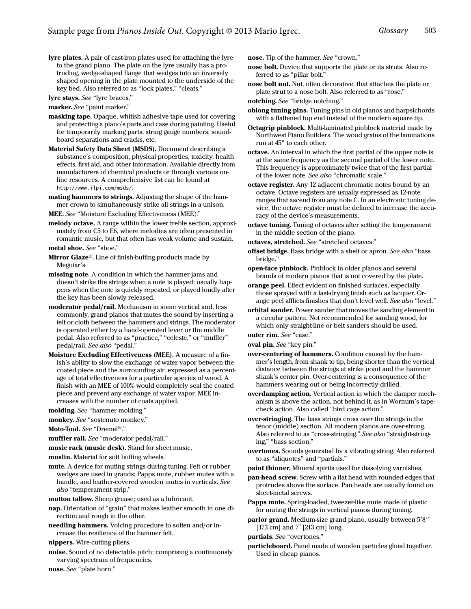<span id="page-8-1"></span>lyre plates. A pair of cast-iron plates used for attaching the lyre to the grand piano. The plate on the lyre usually has a protruding, wedge-shaped flange that wedges into an inversely shaped opening in the plate mounted to the underside of the key bed. Also referred to as "[lock plates](#page-7-10)," ["cleats.](#page-3-11)"

<span id="page-8-8"></span>lyre stays. See ["lyre braces](#page-7-3)."

marker. See "paint marker."

- masking tape. Opaque, whitish adhesive tape used for covering and protecting a piano's parts and case during painting. Useful for temporarily marking parts, string gauge numbers, soundboard separations and cracks, etc.
- Material Safety Data Sheet (MSDS). Document describing a substance's composition, physical properties, toxicity, health effects, first aid, and other information. Available directly from manufacturers of chemical products or through various online resources. A comprehensive list can be found at http://www.ilpi.com/msds/.
- mating hammers to strings. Adjusting the shape of the hammer crown to simultaneously strike all strings in a unison.

MEE. See ["Moisture Excluding Effectiveness \(MEE\).](#page-8-4)"

<span id="page-8-3"></span>melody octave. A range within the lower treble section, approximately from C5 to E6, where melodies are often presented in romantic music, but that often has weak volume and sustain.

metal shoe. See "shoe."

- Mirror Glaze®. Line of finish-buffing products made by Meguiar's.
- missing note. A condition in which the hammer jams and doesn't strike the strings when a note is played; usually happens when the note is quickly repeated, or played loudly after the key has been slowly released.
- <span id="page-8-5"></span>moderator pedal/rail. Mechanism in some vertical and, less commonly, grand pianos that mutes the sound by inserting a felt or cloth between the hammers and strings. The moderator is operated either by a hand-operated lever or the middle pedal. Also referred to as "practice," "celeste," or "muffler" pedal/rail. See also ["pedal](#page-9-2)."
- <span id="page-8-4"></span>Moisture Excluding Effectiveness (MEE). A measure of a finish's ability to slow the exchange of water vapor between the coated piece and the surrounding air, expressed as a percentage of total effectiveness for a particular species of wood. A finish with an MEE of 100% would completely seal the coated piece and prevent any exchange of water vapor. MEE increases with the number of coats applied.
- molding. See ["hammer molding.](#page-5-1)"

monkey. See "sostenuto monkey."

Moto-Tool. See "Dremel®."

muffler rail. See "[moderator pedal/rail.](#page-8-5)"

- music rack (music desk). Stand for sheet music.
- muslin. Material for soft buffing wheels.
- <span id="page-8-9"></span>mute. A device for muting strings during tuning. Felt or rubber wedges are used in grands; Papps mute, rubber mutes with a handle, and leather-covered wooden mutes in verticals. See also "[temperament strip.](#page-12-13)"
- mutton tallow. Sheep grease; used as a lubricant.
- nap. Orientation of "grain" that makes leather smooth in one direction and rough in the other.
- needling hammers. Voicing procedure to soften and/or increase the resilience of the hammer felt.

nippers. Wire-cutting pliers.

noise. Sound of no detectable pitch; comprising a continuously varying spectrum of frequencies.

nose. See "plate horn."

nose. Tip of the hammer. See ["crown.](#page-3-9)"

- <span id="page-8-6"></span>nose bolt. Device that supports the plate or its struts. Also referred to as "pillar bolt."
- <span id="page-8-7"></span>nose bolt nut. Nut, often decorative, that attaches the plate or plate strut to a nose bolt. Also referred to as "[rose.](#page-10-6)"
- notching. See "bridge notching."
- oblong tuning pins. Tuning pins in old pianos and harpsichords with a flattened top end instead of the modern square tip.
- Octagrip pinblock. Multi-laminated pinblock material made by Northwest Piano Builders. The wood grains of the laminations run at 45° to each other.
- octave. An interval in which the first partial of the upper note is at the same frequency as the second partial of the lower note. This frequency is approximately twice that of the first partial of the lower note. See also "[chromatic scale](#page-2-11)."
- octave register. Any 12 adjacent chromatic notes bound by an octave. Octave registers are usually expressed as 12-note ranges that ascend from any note C. In an electronic tuning device, the octave register must be defined to increase the accuracy of the device's measurements.
- octave tuning. Tuning of octaves after setting the temperament in the middle section of the piano.

octaves, stretched. See "stretched octaves."

- offset bridge. Bass bridge with a shelf or apron. See also "bass bridge."
- open-face pinblock. Pinblock in older pianos and several brands of modern pianos that is not covered by the plate.
- <span id="page-8-2"></span>orange peel. Effect evident on finished surfaces, especially those sprayed with a fast-drying finish such as lacquer. Orange peel afflicts finishes that don't level well. See also ["level](#page-7-17)."
- orbital sander. Power sander that moves the sanding element in a circular pattern. Not recommended for sanding wood, for which only straight-line or belt sanders should be used.

outer rim. See "case."

oval pin. See ["key pin](#page-7-1)."

- over-centering of hammers. Condition caused by the hammer's length, from shank to tip, being shorter than the vertical distance between the strings at strike point and the hammer shank's center pin. Over-centering is a consequence of the hammers wearing out or being incorrectly drilled.
- overdamping action. Vertical action in which the damper mechanism is above the action, not behind it, as in Wornum's tapecheck action. Also called "bird cage action."
- <span id="page-8-0"></span>over-stringing. The bass strings cross over the strings in the tenor (middle) section. All modern pianos are over-strung. Also referred to as "cross-stringing." See also "straight-stringing," "[bass section](#page-1-11)."
- overtones. Sounds generated by a vibrating string. Also referred to as "aliquotes" and "partials."

paint thinner. Mineral spirits used for dissolving varnishes.

- pan-head screw. Screw with a flat head with rounded edges that protrudes above the surface. Pan heads are usually found on sheet-metal screws.
- Papps mute. Spring-loaded, tweezer-like mute made of plastic for muting the strings in vertical pianos during tuning.
- parlor grand. Medium-size grand piano, usually between 5'8" [173 cm] and 7' [213 cm] long.

partials. See "overtones."

particleboard. Panel made of wooden particles glued together. Used in cheap pianos.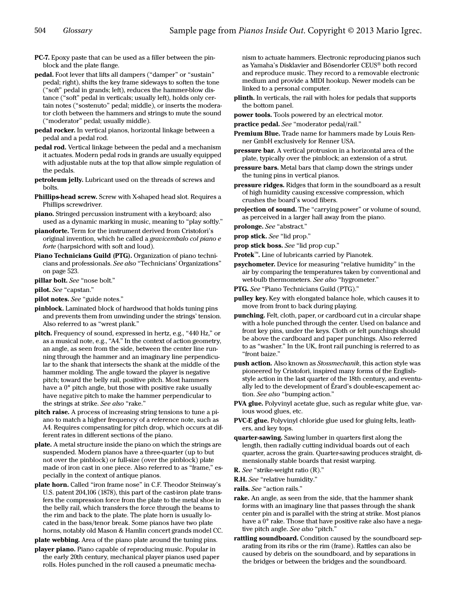- PC-7. Epoxy paste that can be used as a filler between the pinblock and the plate flange.
- <span id="page-9-2"></span>pedal. Foot lever that lifts all dampers ("damper" or "sustain" pedal; right), shifts the key frame sideways to soften the tone ("soft" pedal in grands; left), reduces the hammer-blow distance ("soft" pedal in verticals; usually left), holds only certain notes ("sostenuto" pedal; middle), or inserts the moderator cloth between the hammers and strings to mute the sound ("moderator" pedal; usually middle).
- <span id="page-9-10"></span>pedal rocker. In vertical pianos, horizontal linkage between a pedal and a pedal rod.
- pedal rod. Vertical linkage between the pedal and a mechanism it actuates. Modern pedal rods in grands are usually equipped with adjustable nuts at the top that allow simple regulation of the pedals.
- petroleum jelly. Lubricant used on the threads of screws and bolts.
- Phillips-head screw. Screw with X-shaped head slot. Requires a Phillips screwdriver.
- piano. Stringed percussion instrument with a keyboard; also used as a dynamic marking in music, meaning to "play softly."
- pianoforte. Term for the instrument derived from Cristofori's original invention, which he called a gravicembalo col piano e forte (harpsichord with soft and loud).
- <span id="page-9-7"></span>Piano Technicians Guild (PTG). Organization of piano technicians and professionals. See also "Technicians' Organizations" on page 523.
- pillar bolt. See ["nose bolt](#page-8-6)."
- <span id="page-9-0"></span>pilot. See ["capstan.](#page-2-7)"
- pilot notes. See ["guide notes.](#page-5-8)"
- <span id="page-9-6"></span>pinblock. Laminated block of hardwood that holds tuning pins and prevents them from unwinding under the strings' tension. Also referred to as "[wrest plank](#page-13-8)."
- <span id="page-9-9"></span>pitch. Frequency of sound, expressed in hertz, e.g., "440 Hz," or as a musical note, e.g., "A4." In the context of action geometry, an angle, as seen from the side, between the center line running through the hammer and an imaginary line perpendicular to the shank that intersects the shank at the middle of the hammer molding. The angle toward the player is negative pitch; toward the belly rail, positive pitch. Most hammers have a 0° pitch angle, but those with positive rake usually have negative pitch to make the hammer perpendicular to the strings at strike. See al[so](#page-9-8) "rake."
- pitch raise. A process of increasing string tensions to tune a piano to match a higher frequency of a reference note, such as A4. Requires compensating for pitch drop, which occurs at different rates in different sections of the piano.
- <span id="page-9-3"></span>plate. A metal structure inside the piano on which the strings are suspended. Modern pianos have a three-quarter (up to but not over the pinblock) or full-size (over the pinblock) plate made of iron cast in one piece. Also referred to as "[frame,](#page-5-9)" especially in the context of antique pianos.
- plate horn. Called "iron frame nose" in C.F. Theodor Steinway's U.S. patent 204,106 (1878), this part of the cast-iron plate transfers the compression force from the plate to the metal shoe in the belly rail, which transfers the force through the beams to the rim and back to the plate. The plate horn is usually located in the bass/tenor break. Some pianos have two plate horns, notably old Mason & Hamlin concert grands model CC.

<span id="page-9-11"></span>plate webbing. Area of the piano plate around the tuning pins.

player piano. Piano capable of reproducing music. Popular in the early 20th century, mechanical player pianos used paper rolls. Holes punched in the roll caused a pneumatic mechanism to actuate hammers. Electronic reproducing pianos such as Yamaha's Disklavier and Bösendorfer CEUS® both record and reproduce music. They record to a removable electronic medium and provide a MIDI hookup. Newer models can be linked to a personal computer.

- plinth. In verticals, the rail with holes for pedals that supports the bottom panel.
- power tools. Tools powered by an electrical motor.
- practice pedal. See ["moderator pedal/rail](#page-8-5)."
- Premium Blue. Trade name for hammers made by Louis Renner GmbH exclusively for Renner USA.
- pressure bar. A vertical protrusion in a horizontal area of the plate, typically over the pinblock; an extension of a strut.
- pressure bars. Metal bars that clamp down the strings under the tuning pins in vertical pianos.
- pressure ridges. Ridges that form in the soundboard as a result of high humidity causing excessive compression, which crushes the board's wood fibers.
- projection of sound. The "carrying power" or volume of sound, as perceived in a larger hall away from the piano.
- prolonge. See ["abstract.](#page-0-7)"

<span id="page-9-5"></span>prop stick. See "lid prop."

- <span id="page-9-4"></span>prop stick boss. See ["lid prop cup.](#page-7-18)"
- Protek™. Line of lubricants carried by Pianotek.
- psychometer. Device for measuring "relative humidity" in the air by comparing the temperatures taken by conventional and wet-bulb thermometers. See also "hygrometer."
- PTG. See "[Piano Technicians Guild \(PTG\)](#page-9-7)."
- pulley key. Key with elongated balance hole, which causes it to move from front to back during playing.
- <span id="page-9-1"></span>punching. Felt, cloth, paper, or cardboard cut in a circular shape with a hole punched through the center. Used on balance and front key pins, under the keys. Cloth or felt punchings should be above the cardboard and paper punchings. Also referred to as "washer." In the UK, front rail punching is referred to as "front baize."
- push action. Also known as Stossmechanik, this action style was pioneered by Cristofori, inspired many forms of the Englishstyle action in the last quarter of the 18th century, and eventually led to the development of Érard's double-escapement action. See also "bumping action."
- PVA glue. Polyvinyl acetate glue, such as regular white glue, various wood glues, etc.
- PVC-E glue. Polyvinyl chloride glue used for gluing felts, leathers, and key tops.
- quarter-sawing. Sawing lumber in quarters first along the length, then radially cutting individual boards out of each quarter, across the grain. Quarter-sawing produces straight, dimensionally stable boards that resist warping.
- R. See ["strike-weight ratio \(R\).](#page-11-12)"
- R.H. See ["relative humidity](#page-10-7)."
- rails. See "action rails."
- <span id="page-9-8"></span>rake. An angle, as seen from the side, that the hammer shank forms with an imaginary line that passes through the shank center pin and is parallel with the string at strike. Most pianos have a 0° rake. Those that have positive rake also have a nega-tive pitch angle. See also ["pitch.](#page-9-9)"
- rattling soundboard. Condition caused by the soundboard separating from its ribs or the rim (frame). Rattles can also be caused by debris on the soundboard, and by separations in the bridges or between the bridges and the soundboard.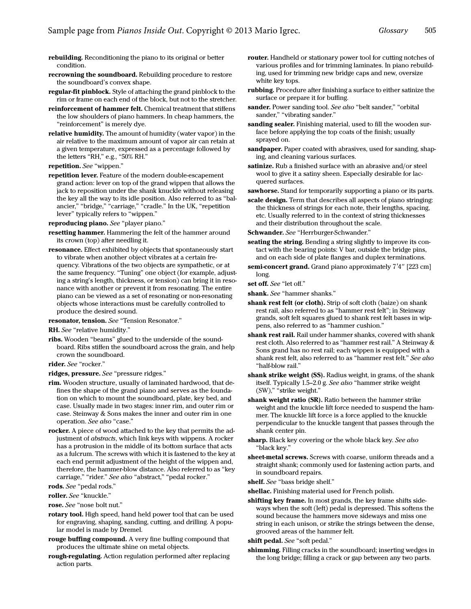- rebuilding. Reconditioning the piano to its original or better condition.
- recrowning the soundboard. Rebuilding procedure to restore the soundboard's convex shape.
- regular-fit pinblock. Style of attaching the grand pinblock to the rim or frame on each end of the block, but not to the stretcher.
- reinforcement of hammer felt. Chemical treatment that stiffens the low shoulders of piano hammers. In cheap hammers, the "reinforcement" is merely dye.
- <span id="page-10-7"></span>relative humidity. The amount of humidity (water vapor) in the air relative to the maximum amount of vapor air can retain at a given temperature, expressed as a percentage followed by the letters "RH," e.g., "50% RH."
- repetition. See "wippen."
- <span id="page-10-0"></span>repetition lever. Feature of the modern double-escapement grand action: lever on top of the grand wippen that allows the jack to reposition under the shank knuckle without releasing the key all the way to its idle position. Also referred to as "balancier," "[bridge,](#page-2-10)" "[carriage](#page-2-13)," "[cradle.](#page-3-12)" In the UK, "repetition lever" typically refers to "[wippen](#page-13-3)."

reproducing piano. See "player piano."

- resetting hammer. Hammering the felt of the hammer around its crown (top) after needling it.
- resonance. Effect exhibited by objects that spontaneously start to vibrate when another object vibrates at a certain frequency. Vibrations of the two objects are sympathetic, or at the same frequency. "Tuning" one object (for example, adjusting a string's length, thickness, or tension) can bring it in resonance with another or prevent it from resonating. The entire piano can be viewed as a set of resonating or non-resonating objects whose interactions must be carefully controlled to produce the desired sound.

## resonator, tension. See ["Tension Resonator.](#page-12-14)"

- RH. See ["relative humidity](#page-10-7)."
- ribs. Wooden "beams" glued to the underside of the soundboard. Ribs stiffen the soundboard across the grain, and help crown the soundboard.
- rider. See "[rocker](#page-10-3)."
- ridges, pressure. See "pressure ridges."
- rim. Wooden structure, usually of laminated hardwood, that defines the shape of the grand piano and serves as the foundation on which to mount the soundboard, plate, key bed, and case. Usually made in two stages: inner rim, and outer rim or case. Steinway & Sons makes the inner and outer rim in one operation. See also ["case.](#page-2-12)"
- <span id="page-10-3"></span>rocker. A piece of wood attached to the key that permits the adjustment of *abstracts*, which link keys with wippens. A rocker has a protrusion in the middle of its bottom surface that acts as a fulcrum. The screws with which it is fastened to the key at each end permit adjustment of the height of the wippen and, therefore, the hammer-blow distance. Also referred to as ["key](#page-6-9)  [carriage](#page-6-9)," "rider." See also "abstract," "[pedal rocker.](#page-9-10)"
- rods. See "pedal rods."
- <span id="page-10-5"></span>roller. See ["knuckle.](#page-7-8)"

<span id="page-10-6"></span>rose. See ["nose bolt nut.](#page-8-7)"

- rotary tool. High speed, hand held power tool that can be used for engraving, shaping, sanding, cutting, and drilling. A popular model is made by Dremel.
- rouge buffing compound. A very fine buffing compound that produces the ultimate shine on metal objects.
- rough-regulating. Action regulation performed after replacing action parts.
- router. Handheld or stationary power tool for cutting notches of various profiles and for trimming laminates. In piano rebuilding, used for trimming new bridge caps and new, oversize white key tops.
- rubbing. Procedure after finishing a surface to either satinize the surface or prepare it for buffing.
- sander. Power sanding tool. See also "belt sander," "orbital sander," "vibrating sander."
- sanding sealer. Finishing material, used to fill the wooden surface before applying the top coats of the finish; usually sprayed on.
- sandpaper. Paper coated with abrasives, used for sanding, shaping, and cleaning various surfaces.
- satinize. Rub a finished surface with an abrasive and/or steel wool to give it a satiny sheen. Especially desirable for lacquered surfaces.
- sawhorse. Stand for temporarily supporting a piano or its parts.
- scale design. Term that describes all aspects of piano stringing: the thickness of strings for each note, their lengths, spacing, etc. Usually referred to in the context of string thicknesses and their distribution throughout the scale.
- Schwander. See "Herrburger-Schwander."
- seating the string. Bending a string slightly to improve its contact with the bearing points: V bar, outside the bridge pins, and on each side of plate flanges and duplex terminations.
- semi-concert grand. Grand piano approximately 7'4" [223 cm] long.
- <span id="page-10-4"></span>set off. See "[let off.](#page-7-0)"
- shank. See "hammer shanks."
- <span id="page-10-1"></span>shank rest felt (or cloth). Strip of soft cloth (baize) on shank rest rail, also referred to as "hammer rest felt"; in Steinway grands, soft felt squares glued to shank rest felt bases in wippens, also referred to as "hammer cushion."
- <span id="page-10-2"></span>shank rest rail. Rail under hammer shanks, covered with shank rest cloth. Also referred to as ["hammer rest rail.](#page-5-10)" A Steinway & Sons grand has no rest rail; each wippen is equipped with a shank rest felt, also referred to as "hammer rest felt." See also "[half-blow rail.](#page-5-11)"
- <span id="page-10-8"></span>shank strike weight (SS). Radius weight, in grams, of the shank itself. Typically 1.5–2.0 g. See also ["hammer strike weight](#page-5-12)  [\(SW\),](#page-5-12)" "strike weight."
- <span id="page-10-9"></span>shank weight ratio (SR). Ratio between the hammer strike weight and the knuckle lift force needed to suspend the hammer. The knuckle lift force is a force applied to the knuckle perpendicular to the knuckle tangent that passes through the shank center pin.
- sharp. Black key covering or the whole black key. See also "[black key.](#page-1-12)"
- sheet-metal screws. Screws with coarse, uniform threads and a straight shank; commonly used for fastening action parts, and in soundboard repairs.
- shelf. See "[bass bridge shelf](#page-1-8)."
- shellac. Finishing material used for French polish.
- shifting key frame. In most grands, the key frame shifts sideways when the soft (left) pedal is depressed. This softens the sound because the hammers move sideways and miss one string in each unison, or strike the strings between the dense, grooved areas of the hammer felt.

shift pedal. See ["soft pedal](#page-11-8)."

shimming. Filling cracks in the soundboard; inserting wedges in the long bridge; filling a crack or gap between any two parts.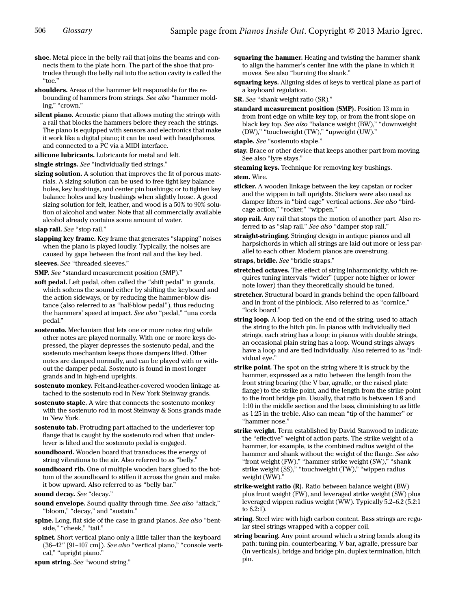- shoe. Metal piece in the belly rail that joins the beams and connects them to the plate horn. The part of the shoe that protrudes through the belly rail into the action cavity is called the "[toe](#page-12-16)."
- <span id="page-11-6"></span>shoulders. Areas of the hammer felt responsible for the rebounding of hammers from strings. See also "[hammer mold](#page-5-1)[ing](#page-5-1)," "[crown](#page-3-9)."
- silent piano. Acoustic piano that allows muting the strings with a rail that blocks the hammers before they reach the strings. The piano is equipped with sensors and electronics that make it work like a digital piano; it can be used with headphones, and connected to a PC via a MIDI interface.
- silicone lubricants. Lubricants for metal and felt.
- single strings. See "individually tied strings."
- sizing solution. A solution that improves the fit of porous materials. A sizing solution can be used to free tight key balance holes, key bushings, and center pin bushings; or to tighten key balance holes and key bushings when slightly loose. A good sizing solution for felt, leather, and wood is a 50% to 90% solution of alcohol and water. Note that all commercially available alcohol already contains some amount of water.
- <span id="page-11-14"></span>slap rail. See ["stop rail.](#page-11-13)"
- slapping key frame. Key frame that generates "slapping" noises when the piano is played loudly. Typically, the noises are caused by gaps between the front rail and the key bed.
- sleeves. See "threaded sleeves."
- SMP. See ["standard measurement position \(SMP\)](#page-11-2)."
- <span id="page-11-8"></span>soft pedal. Left pedal, often called the "shift pedal" in grands, which softens the sound either by shifting the keyboard and the action sideways, or by reducing the hammer-blow distance (also referred to as "half-blow pedal"), thus reducing the hammers' speed at impact. See also "[pedal,](#page-9-2)" ["una corda](#page-12-15)  [pedal.](#page-12-15)"
- sostenuto. Mechanism that lets one or more notes ring while other notes are played normally. With one or more keys depressed, the player depresses the sostenuto pedal, and the sostenuto mechanism keeps those dampers lifted. Other notes are damped normally, and can be played with or without the damper pedal. Sostenuto is found in most longer grands and in high-end uprights.
- sostenuto monkey. Felt-and-leather-covered wooden linkage attached to the sostenuto rod in New York Steinway grands.
- <span id="page-11-15"></span>sostenuto staple. A wire that connects the sostenuto monkey with the sostenuto rod in most Steinway & Sons grands made in New York.
- sostenuto tab. Protruding part attached to the underlever top flange that is caught by the sostenuto rod when that underlever is lifted and the sostenuto pedal is engaged.
- <span id="page-11-4"></span>soundboard. Wooden board that transduces the energy of string vibrations to the air. Also referred to as "belly."
- <span id="page-11-5"></span>soundboard rib. One of multiple wooden bars glued to the bottom of the soundboard to stiffen it across the grain and make it bow upward. Also referred to as "belly bar."
- sound [decay](#page-4-0). See "decay."
- <span id="page-11-0"></span>sound envelope. Sound quality through time. See also "[attack,](#page-0-4)" "[bloom,](#page-1-0)" "[decay](#page-4-0)," and ["sustain](#page-12-2)."
- <span id="page-11-1"></span>spine. Long, flat side of the case in grand pianos. See also ["bent](#page-1-3)[side](#page-1-3)," ["cheek,](#page-2-0)" ["tail](#page-12-3)."
- <span id="page-11-7"></span>spinet. Short vertical piano only a little taller than the keyboard (36–42" [91–107 cm]). See also ["vertical piano](#page-13-5)," "[console verti](#page-3-14)[cal,](#page-3-14)" ["upright piano](#page-13-6)."
- spun string. See "[wound string](#page-13-9)."
- <span id="page-11-3"></span>squaring the hammer. Heating and twisting the hammer shank to align the hammer's center line with the plane in which it moves. See also ["burning the shank](#page-2-6)."
- squaring keys. Aligning sides of keys to vertical plane as part of a keyboard regulation.

SR. See "[shank weight ratio \(SR\).](#page-10-9)"

<span id="page-11-2"></span>standard measurement position (SMP). Position 13 mm in from front edge on white key top, or from the front slope on black key top. See also ["balance weight \(BW\),](#page-1-7)" "[downweight](#page-4-2)  [\(DW\)](#page-4-2)," "[touchweight \(TW\),](#page-12-6)" ["upweight \(UW\).](#page-13-1)"

staple. See ["sostenuto staple.](#page-11-15)"

stay. Brace or other device that keeps another part from moving. See also ["lyre stays.](#page-8-8)"

steaming keys. Technique for removing key bushings. stem. Wire.

- <span id="page-11-11"></span>sticker. A wooden linkage between the key capstan or rocker and the wippen in tall uprights. Stickers were also used as damper lifters in "bird cage" vertical actions. See also "birdcage action," "rocker," "wippen."
- <span id="page-11-13"></span>stop rail. Any rail that stops the motion of another part. Also referred to as "[slap rail.](#page-11-14)" See also ["damper stop rail](#page-3-13)."
- straight-stringing. Stringing design in antique pianos and all harpsichords in which all strings are laid out more or less parallel to each other. Modern pianos are over-strung.
- straps, bridle. See "bridle straps."
- stretched octaves. The effect of string inharmonicity, which requires tuning intervals "wider" (upper note higher or lower note lower) than they theoretically should be tuned.
- <span id="page-11-10"></span>stretcher. Structural board in grands behind the open fallboard and in front of the pinblock. Also referred to as "cornice," "lock board."
- <span id="page-11-9"></span>string loop. A loop tied on the end of the string, used to attach the string to the hitch pin. In pianos with individually tied strings, each string has a loop; in pianos with double strings, an occasional plain string has a loop. Wound strings always have a loop and are tied individually. Also referred to as "individual eye."
- strike point. The spot on the string where it is struck by the hammer, expressed as a ratio between the length from the front string bearing (the V bar, agraffe, or the raised plate flange) to the strike point, and the length from the strike point to the front bridge pin. Usually, that ratio is between 1:8 and 1:10 in the middle section and the bass, diminishing to as little as 1:25 in the treble. Also can mean "tip of the hammer" or "hammer nose."
- strike weight. Term established by David Stanwood to indicate the "effective" weight of action parts. The strike weight of a hammer, for example, is the combined radius weight of the hammer and shank without the weight of the flange. See also "[front weight \(FW\)](#page-5-5)," "[hammer strike weight \(SW\)](#page-5-12)," "shank [strike weight \(SS\),](#page-10-8)" ["touchweight \(TW\)](#page-12-6)," "[wippen radius](#page-13-10)  [weight \(WW\).](#page-13-10)"
- <span id="page-11-12"></span>strike-weight ratio (R). Ratio between balance weight (BW) plus front weight (FW), and leveraged strike weight (SW) plus leveraged wippen radius weight (WW). Typically 5.2–6.2 (5.2:1 to 6.2:1).
- string. Steel wire with high carbon content. Bass strings are regular steel strings wrapped with a copper coil.
- string bearing. Any point around which a string bends along its path: tuning pin, counterbearing, V bar, agraffe, pressure bar (in verticals), bridge and bridge pin, duplex termination, hitch pin.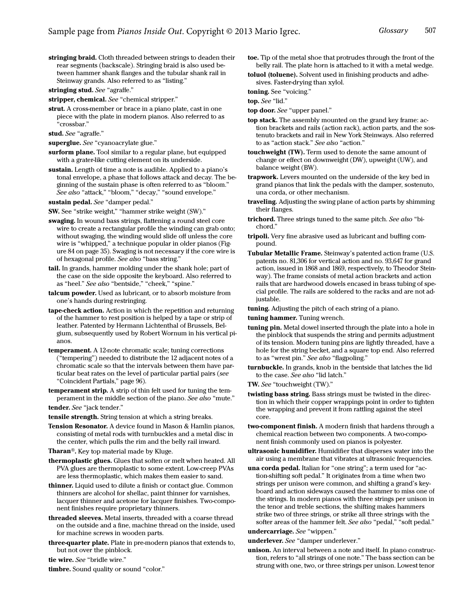<span id="page-12-4"></span>stringing braid. Cloth threaded between strings to deaden their rear segments (backscale). Stringing braid is also used between hammer shank flanges and the tubular shank rail in Steinway grands. Also referred to as "listing."

<span id="page-12-1"></span>stringing stud. See "[agraffe](#page-0-8)."

stripper, chemical. See "chemical stripper."

<span id="page-12-7"></span>strut. A cross-member or brace in a piano plate, cast in one piece with the plate in modern pianos. Also referred to as "crossbar."

stud. See ["agraffe.](#page-0-8)"

- superglue. See ["cyanoacrylate glue.](#page-3-16)"
- surform plane. Tool similar to a regular plane, but equipped with a grater-like cutting element on its underside.
- <span id="page-12-2"></span>sustain. Length of time a note is audible. Applied to a piano's tonal envelope, a phase that follows attack and decay. The beginning of the sustain phase is often referred to as "bloom." See also ["attack,](#page-0-4)" ["bloom,](#page-1-0)" ["decay,](#page-4-0)" "[sound envelope](#page-11-0)."

sustain pedal. See ["damper pedal.](#page-3-15)"

- SW. See "strike weight," "[hammer strike weight \(SW\)](#page-5-12)."
- swaging. In wound bass strings, flattening a round steel core wire to create a rectangular profile the winding can grab onto; without swaging, the winding would slide off unless the core wire is "whipped," a technique popular in older pianos (Figure 84 on page 35). Swaging is not necessary if the core wire is of hexagonal profile. See also ["bass string.](#page-1-14)"
- <span id="page-12-3"></span>tail. In grands, hammer molding under the shank hole; part of the case on the side opposite the keyboard. Also referred to as "[heel](#page-6-10)." See also ["bentside](#page-1-3)," "[cheek](#page-2-0)," ["spine.](#page-11-1)"
- talcum powder. Used as lubricant, or to absorb moisture from one's hands during restringing.
- tape-check action. Action in which the repetition and returning of the hammer to rest position is helped by a tape or strip of leather. Patented by Hermann Lichtenthal of Brussels, Belgium, subsequently used by Robert Wornum in his vertical pianos.
- temperament. A 12-note chromatic scale; tuning corrections ("tempering") needed to distribute the 12 adjacent notes of a chromatic scale so that the intervals between them have particular beat rates on the level of particular partial pairs (see "Coincident Partials," page 96).
- <span id="page-12-13"></span>temperament strip. A strip of thin felt used for tuning the temperament in the middle section of the piano. See also "[mute.](#page-8-9)" tender. See "[jack tender.](#page-6-4)"
- tensile strength. String tension at which a string breaks.
- <span id="page-12-14"></span>Tension Resonator. A device found in Mason & Hamlin pianos, consisting of metal rods with turnbuckles and a metal disc in the center, which pulls the rim and the belly rail inward.
- <span id="page-12-12"></span>Tharan®. Key top material made by Kluge.
- thermoplastic glues. Glues that soften or melt when heated. All PVA glues are thermoplastic to some extent. Low-creep PVAs are less thermoplastic, which makes them easier to sand.
- thinner. Liquid used to dilute a finish or contact glue. Common thinners are alcohol for shellac, paint thinner for varnishes, lacquer thinner and acetone for lacquer finishes. Two-component finishes require proprietary thinners.
- threaded sleeves. Metal inserts, threaded with a coarse thread on the outside and a fine, machine thread on the inside, used for machine screws in wooden parts.
- three-quarter plate. Plate in pre-modern pianos that extends to, but not over the pinblock.

tie wire. See ["bridle wire.](#page-2-14)"

timbre. Sound quality or sound "color."

- <span id="page-12-16"></span>toe. Tip of the metal shoe that protrudes through the front of the belly rail. The plate horn is attached to it with a metal wedge.
- toluol (toluene). Solvent used in finishing products and adhesives. Faster-drying than xylol.

toning. See "voicing."

top. See "[lid](#page-7-7)."

- top door. See "[upper panel.](#page-13-12)"
- <span id="page-12-0"></span>top stack. The assembly mounted on the grand key frame: action brackets and rails (action rack), action parts, and the sostenuto brackets and rail in New York Steinways. Also referred to as "[action stack.](#page-0-10)" See also "[action.](#page-0-9)"
- <span id="page-12-6"></span>touchweight (TW). Term used to denote the same amount of change or effect on downweight (DW), upweight (UW), and balance weight (BW).
- <span id="page-12-11"></span>trapwork. Levers mounted on the underside of the key bed in grand pianos that link the pedals with the damper, sostenuto, una corda, or other mechanism.
- traveling. Adjusting the swing plane of action parts by shimming their flanges.
- <span id="page-12-5"></span>trichord. Three strings tuned to the same pitch. See also "[bi](#page-1-13)[chord](#page-1-13)."
- tripoli. Very fine abrasive used as lubricant and buffing compound.
- Tubular Metallic Frame. Steinway's patented action frame (U.S. patents no. 81,306 for vertical action and no. 93,647 for grand action, issued in 1868 and 1869, respectively, to Theodor Steinway). The frame consists of metal action brackets and action rails that are hardwood dowels encased in brass tubing of special profile. The rails are soldered to the racks and are not adjustable.
- tuning. Adjusting the pitch of each string of a piano.

<span id="page-12-8"></span>tuning hammer. Tuning wrench.

- <span id="page-12-9"></span>tuning pin. Metal dowel inserted through the plate into a hole in the pinblock that suspends the string and permits adjustment of its tension. Modern tuning pins are lightly threaded, have a hole for the string becket, and a square top end. Also referred to as "[wrest pin.](#page-13-11)" See also ["flagpoling.](#page-5-13)"
- <span id="page-12-10"></span>turnbuckle. In grands, knob in the bentside that latches the lid to the case. See also "[lid latch](#page-7-19)."

TW. See "[touchweight \(TW\).](#page-12-6)"

- twisting bass string. Bass strings must be twisted in the direction in which their copper wrappings point in order to tighten the wrapping and prevent it from rattling against the steel core.
- two-component finish. A modern finish that hardens through a chemical reaction between two components. A two-component finish commonly used on pianos is polyester.
- ultrasonic humidifier. Humidifier that disperses water into the air using a membrane that vibrates at ultrasonic frequencies.
- <span id="page-12-15"></span>una corda pedal. Italian for "one string"; a term used for "action-shifting soft pedal." It originates from a time when two strings per unison were common, and shifting a grand's keyboard and action sideways caused the hammer to miss one of the strings. In modern pianos with three strings per unison in the tenor and treble sections, the shifting makes hammers strike two of three strings, or strike all three strings with the softer areas of the hammer felt. See also ["pedal](#page-9-2)," "soft pedal."

## undercarriage. See "[wippen](#page-13-3)."

underlever. See "[damper underlever](#page-3-1)."

unison. An interval between a note and itself. In piano construction, refers to "all strings of one note." The bass section can be strung with one, two, or three strings per unison. Lowest tenor